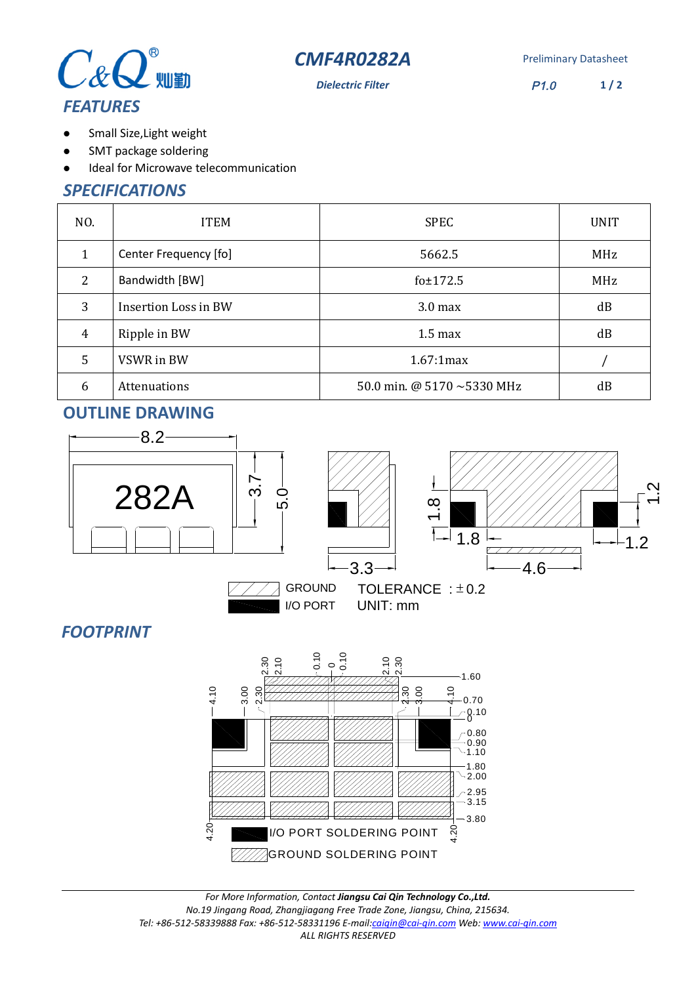



**Dielectric Filter** P1.0 **1 / 2**

# $\bullet$

- Small Size,Light weight SMT package soldering  $\bullet$
- Ideal for Microwave telecommunication  $\bullet$

## *SPECIFICATIONS*

| NO.            | <b>ITEM</b>                 | <b>SPEC</b>                      | <b>UNIT</b> |
|----------------|-----------------------------|----------------------------------|-------------|
| 1              | Center Frequency [fo]       | 5662.5                           | MHz         |
| 2              | Bandwidth [BW]              | fo±172.5                         | MHz         |
| 3              | <b>Insertion Loss in BW</b> | 3.0 <sub>max</sub>               | dB          |
| $\overline{4}$ | Ripple in BW                | $1.5 \text{ max}$                | dB          |
| 5              | VSWR in BW                  | 1.67:1max                        |             |
| 6              | Attenuations                | 50.0 min. @ 5170 $\sim$ 5330 MHz | dB          |

## **OUTLINE DRAWING**



## *FOOTPRINT*